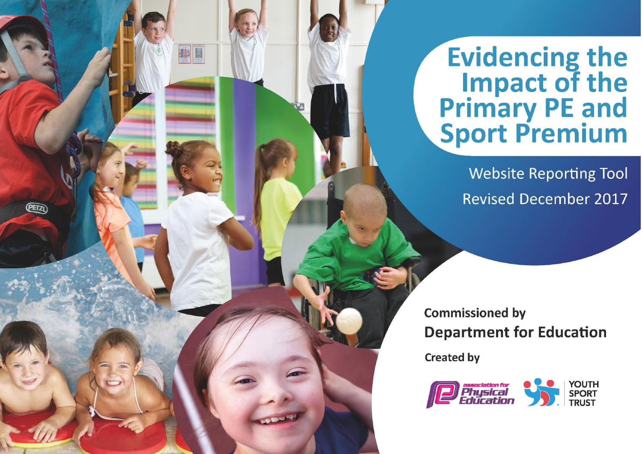## **Evidencing the Impact of the<br>Primary PE and<br>Sport Premium**

**Website Reporting Tool Revised December 2017** 

**Commissioned by Department for Education** 

**Created by** 

(PETZ)

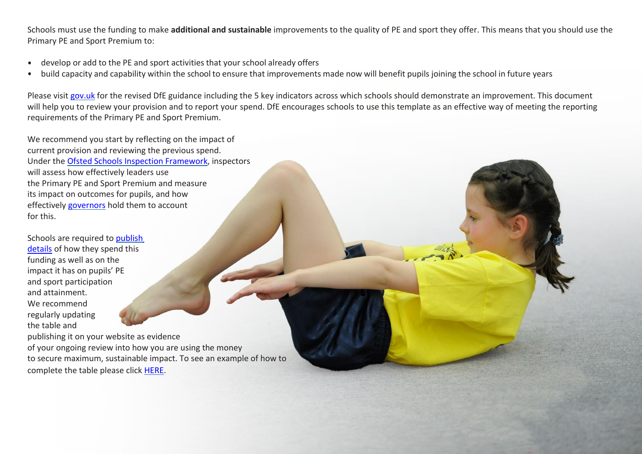Schools must use the funding to make **additional and sustainable** improvements to the quality of PE and sport they offer. This means that you should use the Primary PE and Sport Premium to:

- develop or add to the PE and sport activities that your school already offers  $\bullet$
- build capacity and capability within the school to ensure that improvements made now will benefit pupils joining the school in future years

Please visit [gov.uk](https://www.gov.uk/guidance/pe-and-sport-premium-for-primary-schools) for the revised DfE guidance including the 5 key indicators across which schools should demonstrate an improvement. This document will help you to review your provision and to report your spend. DfE encourages schools to use this template as an effective way of meeting the reporting requirements of the Primary PE and Sport Premium.

We recommend you start by reflecting on the impact of current provision and reviewing the previous spend. Under the [Ofsted Schools Inspection Framework,](https://www.gov.uk/government/publications/school-inspection-handbook-from-september-2015) inspectors will assess how effectively leaders use the Primary PE and Sport Premium and measure its impact on outcomes for pupils, and how effectively [governors](https://www.gov.uk/government/publications/governance-handbook) hold them to account for this.

Schools are required to [publish](https://www.gov.uk/guidance/what-maintained-schools-must-publish-online#pe-and-sport-premium-for-primary-schools) [details](https://www.gov.uk/guidance/what-maintained-schools-must-publish-online#pe-and-sport-premium-for-primary-schools) of how they spend this funding as well as on the impact it has on pupils' PE and sport participation and attainment. We recommend regularly updating the table and

publishing it on your website as evidence of your ongoing review into how you are using the money to secure maximum, sustainable impact. To see an example of how to complete the table please click [HERE.](http://www.afpe.org.uk/physical-education/wp-content/uploads/Template-Exemplification.pdf)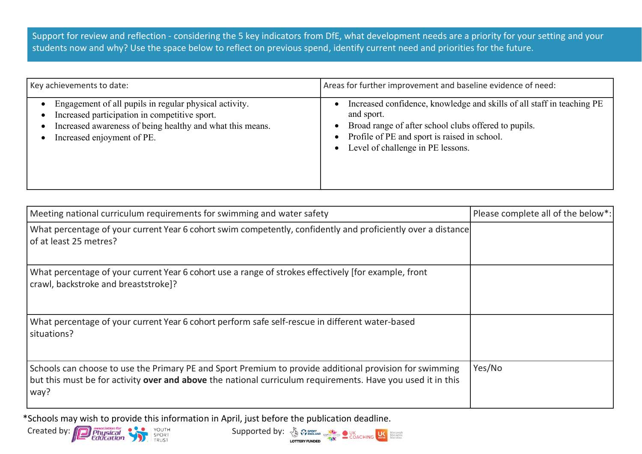Support for review and reflection - considering the 5 key indicators from DfE, what development needs are a priority for your setting and your students now and why? Use the space below to reflect on previous spend, identify current need and priorities for the future.

| Key achievements to date:                                                                                                                                                                          | Areas for further improvement and baseline evidence of need:                                                                                                                                                                                                               |
|----------------------------------------------------------------------------------------------------------------------------------------------------------------------------------------------------|----------------------------------------------------------------------------------------------------------------------------------------------------------------------------------------------------------------------------------------------------------------------------|
| Engagement of all pupils in regular physical activity.<br>Increased participation in competitive sport.<br>Increased awareness of being healthy and what this means.<br>Increased enjoyment of PE. | Increased confidence, knowledge and skills of all staff in teaching PE<br>$\bullet$<br>and sport.<br>Broad range of after school clubs offered to pupils.<br>$\bullet$<br>• Profile of PE and sport is raised in school.<br>Level of challenge in PE lessons.<br>$\bullet$ |

| Meeting national curriculum requirements for swimming and water safety                                                                                                                                                                | Please complete all of the below*: |
|---------------------------------------------------------------------------------------------------------------------------------------------------------------------------------------------------------------------------------------|------------------------------------|
| What percentage of your current Year 6 cohort swim competently, confidently and proficiently over a distance<br>of at least 25 metres?                                                                                                |                                    |
| What percentage of your current Year 6 cohort use a range of strokes effectively [for example, front<br>crawl, backstroke and breaststroke]?                                                                                          |                                    |
| What percentage of your current Year 6 cohort perform safe self-rescue in different water-based<br>situations?                                                                                                                        |                                    |
| Schools can choose to use the Primary PE and Sport Premium to provide additional provision for swimming<br>but this must be for activity <b>over and above</b> the national curriculum requirements. Have you used it in this<br>way? | Yes/No                             |

\*Schools may wish to provide this information in April, just before the publication deadline.



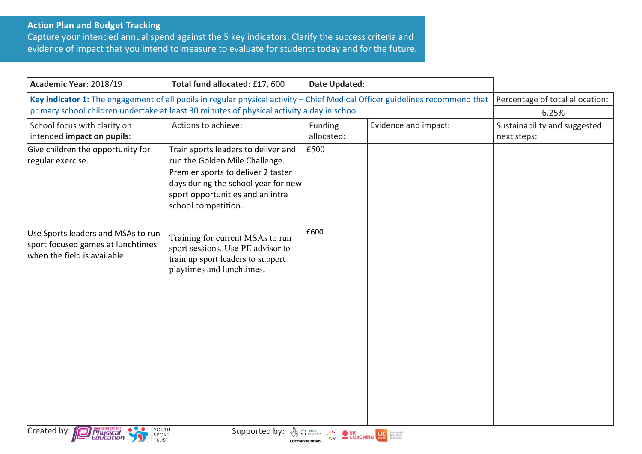## **Action Plan and Budget Tracking**

Capture your intended annual spend against the 5 key indicators. Clarify the success criteria and evidence of impact that you intend to measure to evaluate for students today and for the future.

| Academic Year: 2018/19                                                                                                                                                                                                     | Total fund allocated: £17, 600                                                                                                                                                                                | <b>Date Updated:</b>                             |                      |                                             |
|----------------------------------------------------------------------------------------------------------------------------------------------------------------------------------------------------------------------------|---------------------------------------------------------------------------------------------------------------------------------------------------------------------------------------------------------------|--------------------------------------------------|----------------------|---------------------------------------------|
| Key indicator 1: The engagement of all pupils in regular physical activity - Chief Medical Officer guidelines recommend that<br>primary school children undertake at least 30 minutes of physical activity a day in school | Percentage of total allocation:<br>6.25%                                                                                                                                                                      |                                                  |                      |                                             |
| School focus with clarity on<br>intended impact on pupils:                                                                                                                                                                 | Actions to achieve:                                                                                                                                                                                           | Funding<br>allocated:                            | Evidence and impact: | Sustainability and suggested<br>next steps: |
| Give children the opportunity for<br>regular exercise.                                                                                                                                                                     | Train sports leaders to deliver and<br>run the Golden Mile Challenge.<br>Premier sports to deliver 2 taster<br>days during the school year for new<br>sport opportunities and an intra<br>school competition. | £500                                             |                      |                                             |
| Use Sports leaders and MSAs to run<br>sport focused games at lunchtimes<br>when the field is available.                                                                                                                    | Training for current MSAs to run<br>sport sessions. Use PE advisor to<br>train up sport leaders to support<br>playtimes and lunchtimes.                                                                       | £600                                             |                      |                                             |
| YOUTH<br>Created by:<br><i>Physical</i><br>Education<br>SPORT<br>TRUST                                                                                                                                                     | Supported by:                                                                                                                                                                                                 | <b>ED CONCHING COACHING CONCHING CONCHERENCE</b> |                      |                                             |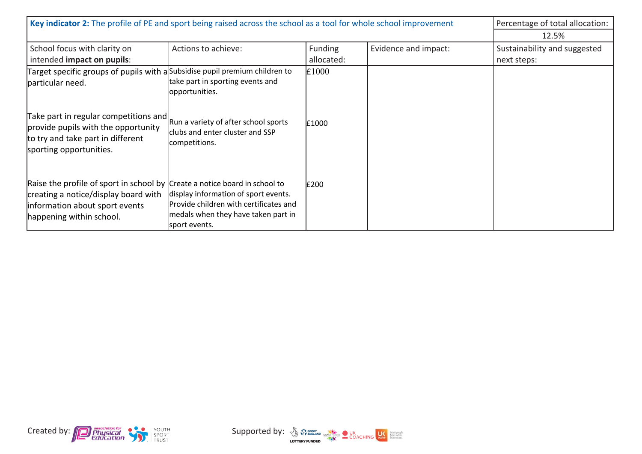| Key indicator 2: The profile of PE and sport being raised across the school as a tool for whole school improvement                                                               |                                                                                                                                        |                              |                      | Percentage of total allocation:<br>12.5%    |
|----------------------------------------------------------------------------------------------------------------------------------------------------------------------------------|----------------------------------------------------------------------------------------------------------------------------------------|------------------------------|----------------------|---------------------------------------------|
| School focus with clarity on<br>intended impact on pupils:                                                                                                                       | Actions to achieve:                                                                                                                    | <b>Funding</b><br>allocated: | Evidence and impact: | Sustainability and suggested<br>next steps: |
| Target specific groups of pupils with a Subsidise pupil premium children to<br>particular need.                                                                                  | take part in sporting events and<br>opportunities.                                                                                     | E1000                        |                      |                                             |
| Take part in regular competitions and<br>provide pupils with the opportunity<br>to try and take part in different<br>sporting opportunities.                                     | Run a variety of after school sports<br>clubs and enter cluster and SSP<br>competitions.                                               | £1000                        |                      |                                             |
| Raise the profile of sport in school by Create a notice board in school to<br>creating a notice/display board with<br>information about sport events<br>happening within school. | display information of sport events.<br>Provide children with certificates and<br>medals when they have taken part in<br>sport events. | £200                         |                      |                                             |



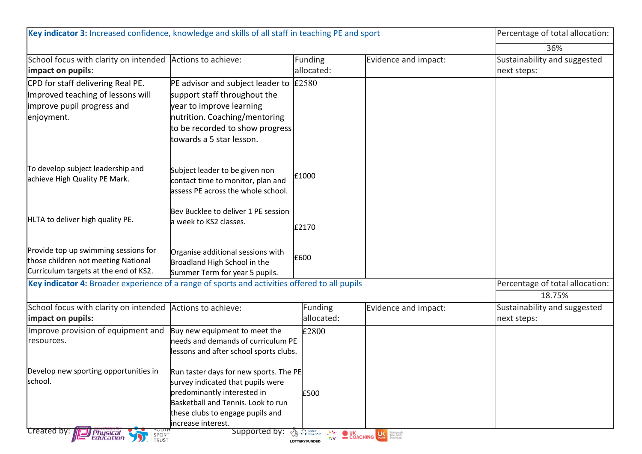| Key indicator 3: Increased confidence, knowledge and skills of all staff in teaching PE and sport                                                                                  |                                                                                                                                                                 |                                                                                                                                                                                                                                              |                                             |
|------------------------------------------------------------------------------------------------------------------------------------------------------------------------------------|-----------------------------------------------------------------------------------------------------------------------------------------------------------------|----------------------------------------------------------------------------------------------------------------------------------------------------------------------------------------------------------------------------------------------|---------------------------------------------|
|                                                                                                                                                                                    |                                                                                                                                                                 |                                                                                                                                                                                                                                              | 36%                                         |
|                                                                                                                                                                                    | Funding<br>allocated:                                                                                                                                           | Evidence and impact:                                                                                                                                                                                                                         | Sustainability and suggested<br>next steps: |
| support staff throughout the<br>year to improve learning<br>nutrition. Coaching/mentoring<br>towards a 5 star lesson.                                                              |                                                                                                                                                                 |                                                                                                                                                                                                                                              |                                             |
| Subject leader to be given non<br>contact time to monitor, plan and<br>assess PE across the whole school.                                                                          | £1000                                                                                                                                                           |                                                                                                                                                                                                                                              |                                             |
| Bev Bucklee to deliver 1 PE session<br>a week to KS2 classes.                                                                                                                      | £2170                                                                                                                                                           |                                                                                                                                                                                                                                              |                                             |
| Organise additional sessions with<br>Broadland High School in the<br>Summer Term for year 5 pupils.                                                                                |                                                                                                                                                                 |                                                                                                                                                                                                                                              |                                             |
| Key indicator 4: Broader experience of a range of sports and activities offered to all pupils                                                                                      |                                                                                                                                                                 |                                                                                                                                                                                                                                              | Percentage of total allocation:             |
|                                                                                                                                                                                    |                                                                                                                                                                 |                                                                                                                                                                                                                                              | 18.75%                                      |
|                                                                                                                                                                                    | allocated:                                                                                                                                                      |                                                                                                                                                                                                                                              | Sustainability and suggested<br>next steps: |
| Buy new equipment to meet the                                                                                                                                                      | £2800                                                                                                                                                           |                                                                                                                                                                                                                                              |                                             |
| survey indicated that pupils were<br>predominantly interested in<br>Basketball and Tennis. Look to run<br>these clubs to engage pupils and<br>lincrease interest.<br>Supported by: | £500<br><b>B</b> Presence                                                                                                                                       |                                                                                                                                                                                                                                              |                                             |
|                                                                                                                                                                                    | School focus with clarity on intended Actions to achieve:<br>School focus with clarity on intended<br>Actions to achieve:<br>Improve provision of equipment and | <b>PE</b> advisor and subject leader to $\text{\pounds}2580$<br>to be recorded to show progress<br>£600<br>Funding<br>needs and demands of curriculum PE<br>lessons and after school sports clubs.<br>Run taster days for new sports. The PE | Evidence and impact:                        |